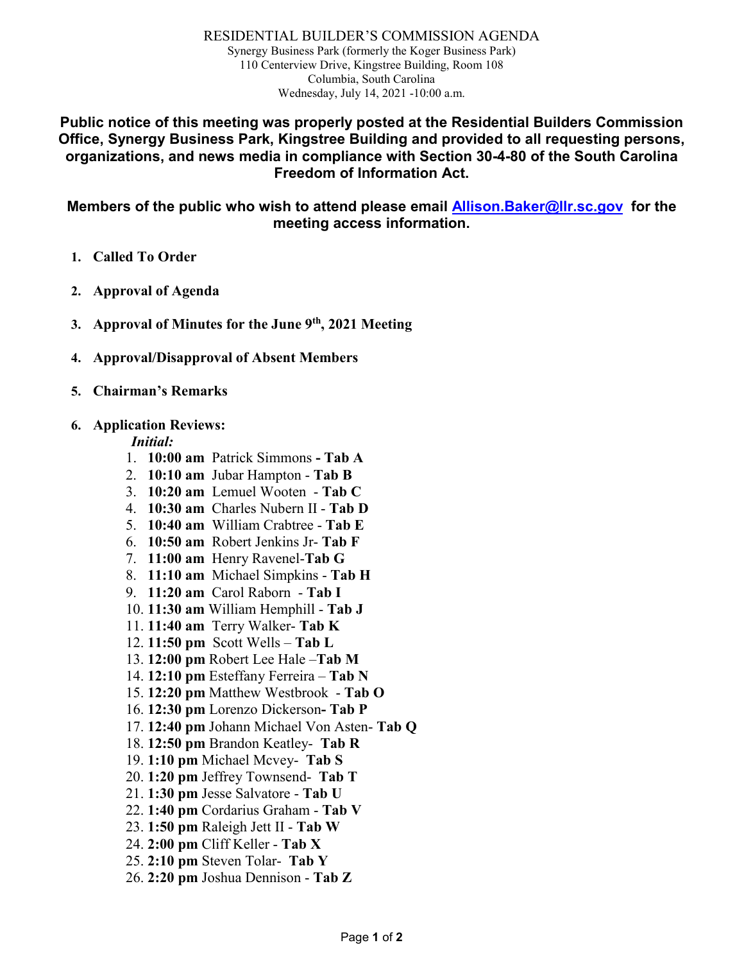RESIDENTIAL BUILDER'S COMMISSION AGENDA Synergy Business Park (formerly the Koger Business Park) 110 Centerview Drive, Kingstree Building, Room 108 Columbia, South Carolina Wednesday, July 14, 2021 -10:00 a.m.

**Public notice of this meeting was properly posted at the Residential Builders Commission Office, Synergy Business Park, Kingstree Building and provided to all requesting persons, organizations, and news media in compliance with Section 30-4-80 of the South Carolina Freedom of Information Act.**

**Members of the public who wish to attend please email [Allison.Baker@llr.sc.gov](mailto:Allison.Baker@llr.sc.gov) for the meeting access information.**

- **1. Called To Order**
- **2. Approval of Agenda**
- **3. Approval of Minutes for the June 9th, 2021 Meeting**
- **4. Approval/Disapproval of Absent Members**
- **5. Chairman's Remarks**

#### **6. Application Reviews:**

*Initial:*

- 1. **10:00 am** Patrick Simmons **- Tab A**
- 2. **10:10 am** Jubar Hampton **Tab B**
- 3. **10:20 am** Lemuel Wooten **Tab C**
- 4. **10:30 am** Charles Nubern II **Tab D**
- 5. **10:40 am** William Crabtree **Tab E**
- 6. **10:50 am** Robert Jenkins Jr- **Tab F**
- 7. **11:00 am** Henry Ravenel-**Tab G**
- 8. **11:10 am** Michael Simpkins **Tab H**
- 9. **11:20 am** Carol Raborn **Tab I**
- 10. **11:30 am** William Hemphill **Tab J**
- 11. **11:40 am** Terry Walker- **Tab K**
- 12. **11:50 pm** Scott Wells **Tab L**
- 13. **12:00 pm** Robert Lee Hale –**Tab M**
- 14. **12:10 pm** Esteffany Ferreira **Tab N**
- 15. **12:20 pm** Matthew Westbrook **Tab O**
- 16. **12:30 pm** Lorenzo Dickerson**- Tab P**
- 17. **12:40 pm** Johann Michael Von Asten- **Tab Q**
- 18. **12:50 pm** Brandon Keatley- **Tab R**
- 19. **1:10 pm** Michael Mcvey- **Tab S**
- 20. **1:20 pm** Jeffrey Townsend- **Tab T**
- 21. **1:30 pm** Jesse Salvatore **Tab U**
- 22. **1:40 pm** Cordarius Graham **Tab V**
- 23. **1:50 pm** Raleigh Jett II **Tab W**
- 24. **2:00 pm** Cliff Keller **Tab X**
- 25. **2:10 pm** Steven Tolar- **Tab Y**
- 26. **2:20 pm** Joshua Dennison **Tab Z**